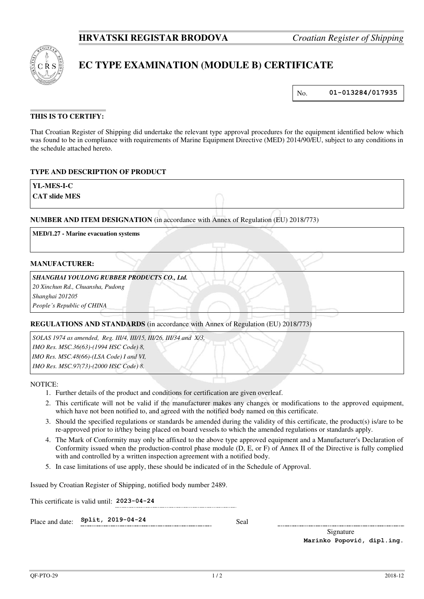

# **EC TYPE EXAMINATION (MODULE B) CERTIFICATE**

No. **01-013284/017935**

# **THIS IS TO CERTIFY:**

That Croatian Register of Shipping did undertake the relevant type approval procedures for the equipment identified below which was found to be in compliance with requirements of Marine Equipment Directive (MED) 2014/90/EU, subject to any conditions in the schedule attached hereto.

## **TYPE AND DESCRIPTION OF PRODUCT**

**YL-MES-I-C** 

**CAT slide MES** 

#### **NUMBER AND ITEM DESIGNATION** (in accordance with Annex of Regulation (EU) 2018/773)

**MED/1.27 - Marine evacuation systems**

#### **MANUFACTURER:**

#### *SHANGHAI YOULONG RUBBER PRODUCTS CO., Ltd.*

*20 Xinchun Rd., Chuansha, Pudong* 

*Shanghai 201205* 

*People's Republic of CHINA*

## **REGULATIONS AND STANDARDS** (in accordance with Annex of Regulation (EU) 2018/773)

*SOLAS 1974 as amended, Reg. III/4, III/15, III/26, III/34 and X/3, IMO Res. MSC.36(63)-(1994 HSC Code) 8, IMO Res. MSC.48(66)-(LSA Code) I and VI, IMO Res. MSC.97(73)-(2000 HSC Code) 8.*

NOTICE:

- 1. Further details of the product and conditions for certification are given overleaf.
- 2. This certificate will not be valid if the manufacturer makes any changes or modifications to the approved equipment, which have not been notified to, and agreed with the notified body named on this certificate.
- 3. Should the specified regulations or standards be amended during the validity of this certificate, the product(s) is/are to be re-approved prior to it/they being placed on board vessels to which the amended regulations or standards apply.
- 4. The Mark of Conformity may only be affixed to the above type approved equipment and a Manufacturer's Declaration of Conformity issued when the production-control phase module (D, E, or F) of Annex II of the Directive is fully complied with and controlled by a written inspection agreement with a notified body.
- 5. In case limitations of use apply, these should be indicated of in the Schedule of Approval.

Issued by Croatian Register of Shipping, notified body number 2489.

This certificate is valid until: **2023-04-24** 

Place and date:  $\text{Split}$ , 2019-04-24 Seal

Signature **Marinko Popović, dipl.ing.**